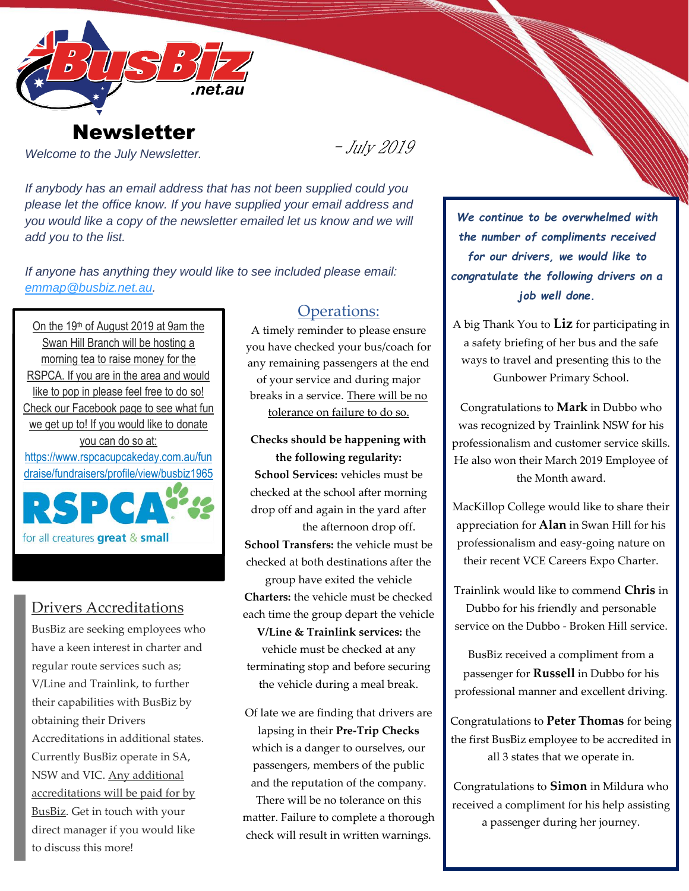

## **Newsletter**

*Welcome to the July Newsletter.*

 $-Ju/y$  2019

*If anybody has an email address that has not been supplied could you please let the office know. If you have supplied your email address and you would like a copy of the newsletter emailed let us know and we will add you to the list.*

*If anyone has anything they would like to see included please email: [emmap@busbiz.net.au.](mailto:emmap@busbiz.net.au)*

On the 19th of August 2019 at 9am the Swan Hill Branch will be hosting a morning tea to raise money for the RSPCA. If you are in the area and would like to pop in please feel free to do so! Check our Facebook page to see what fun we get up to! If you would like to donate you can do so at: https://www.rspcacupcakeday.com.au/fun draise/fundraisers/profile/view/busbiz1965



## Drivers Accreditations

BusBiz are seeking employees who have a keen interest in charter and regular route services such as; V/Line and Trainlink, to further their capabilities with BusBiz by obtaining their Drivers Accreditations in additional states. Currently BusBiz operate in SA, NSW and VIC. Any additional accreditations will be paid for by BusBiz. Get in touch with your direct manager if you would like to discuss this more!

### Operations:

A timely reminder to please ensure you have checked your bus/coach for any remaining passengers at the end of your service and during major breaks in a service. There will be no tolerance on failure to do so.

**Checks should be happening with the following regularity: School Services:** vehicles must be checked at the school after morning drop off and again in the yard after the afternoon drop off. **School Transfers:** the vehicle must be checked at both destinations after the group have exited the vehicle **Charters:** the vehicle must be checked each time the group depart the vehicle **V/Line & Trainlink services:** the vehicle must be checked at any terminating stop and before securing

the vehicle during a meal break.

Of late we are finding that drivers are lapsing in their **Pre-Trip Checks** which is a danger to ourselves, our passengers, members of the public and the reputation of the company. There will be no tolerance on this

matter. Failure to complete a thorough check will result in written warnings.

*We continue to be overwhelmed with the number of compliments received for our drivers, we would like to congratulate the following drivers on a job well done.*

A big Thank You to **Liz** for participating in a safety briefing of her bus and the safe ways to travel and presenting this to the Gunbower Primary School.

Congratulations to **Mark** in Dubbo who was recognized by Trainlink NSW for his professionalism and customer service skills. He also won their March 2019 Employee of the Month award.

MacKillop College would like to share their appreciation for **Alan** in Swan Hill for his professionalism and easy-going nature on their recent VCE Careers Expo Charter.

Trainlink would like to commend **Chris** in Dubbo for his friendly and personable service on the Dubbo - Broken Hill service.

BusBiz received a compliment from a passenger for **Russell** in Dubbo for his professional manner and excellent driving.

Congratulations to **Peter Thomas** for being the first BusBiz employee to be accredited in all 3 states that we operate in.

Congratulations to **Simon** in Mildura who received a compliment for his help assisting a passenger during her journey.